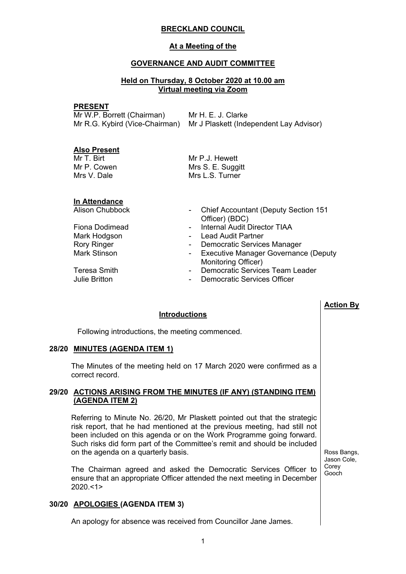## **BRECKLAND COUNCIL**

## **At a Meeting of the**

## **GOVERNANCE AND AUDIT COMMITTEE**

## **Held on Thursday, 8 October 2020 at 10.00 am Virtual meeting via Zoom**

#### **PRESENT**

| Mr W.P. Borrett (Chairman) | Mr H. E. J. Clarke                                                     |
|----------------------------|------------------------------------------------------------------------|
|                            | Mr R.G. Kybird (Vice-Chairman) Mr J Plaskett (Independent Lay Advisor) |

#### **Also Present**

Mr T. Birt Mr P. Cowen Mrs V. Dale

**In Attendance**

Mr P.J. Hewett Mrs S. E. Suggitt Mrs L.S. Turner

| <b>Alison Chubbock</b> | - Chief Accountant (Deputy Section 151                 |
|------------------------|--------------------------------------------------------|
|                        | Officer) (BDC)                                         |
| Fiona Dodimead         | <b>Internal Audit Director TIAA</b><br>$\sim$ 10 $\pm$ |
| Mark Hodgson           | <b>Lead Audit Partner</b><br>$\sim$ 100 $\mu$          |
| <b>Rory Ringer</b>     | Democratic Services Manager<br>$\sim$ 10 $\pm$         |
| Mark Stinson           | - Executive Manager Governance (Deputy                 |
|                        | Monitoring Officer)                                    |
| Teresa Smith           | Democratic Services Team Leader<br>۰.                  |
| <b>Julie Britton</b>   | <b>Democratic Services Officer</b><br>-                |
|                        |                                                        |

## **Introductions**

Following introductions, the meeting commenced.

#### **28/20 MINUTES (AGENDA ITEM 1)**

The Minutes of the meeting held on 17 March 2020 were confirmed as a correct record.

## **29/20 ACTIONS ARISING FROM THE MINUTES (IF ANY) (STANDING ITEM) (AGENDA ITEM 2)**

Referring to Minute No. 26/20, Mr Plaskett pointed out that the strategic risk report, that he had mentioned at the previous meeting, had still not been included on this agenda or on the Work Programme going forward. Such risks did form part of the Committee's remit and should be included on the agenda on a quarterly basis.

The Chairman agreed and asked the Democratic Services Officer to ensure that an appropriate Officer attended the next meeting in December 2020.<1>

# **30/20 APOLOGIES (AGENDA ITEM 3)**

An apology for absence was received from Councillor Jane James.

Ross Bangs, Jason Cole, Corey Gooch

**Action By**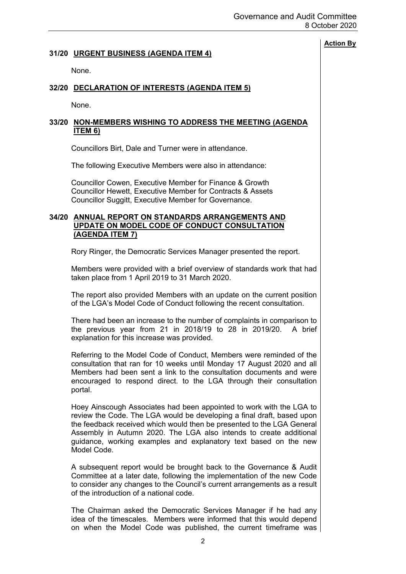# **Action By 31/20 URGENT BUSINESS (AGENDA ITEM 4)** None. **32/20 DECLARATION OF INTERESTS (AGENDA ITEM 5)** None. **33/20 NON-MEMBERS WISHING TO ADDRESS THE MEETING (AGENDA ITEM 6)** Councillors Birt, Dale and Turner were in attendance. The following Executive Members were also in attendance: Councillor Cowen, Executive Member for Finance & Growth Councillor Hewett, Executive Member for Contracts & Assets Councillor Suggitt, Executive Member for Governance. **34/20 ANNUAL REPORT ON STANDARDS ARRANGEMENTS AND UPDATE ON MODEL CODE OF CONDUCT CONSULTATION (AGENDA ITEM 7)** Rory Ringer, the Democratic Services Manager presented the report. Members were provided with a brief overview of standards work that had taken place from 1 April 2019 to 31 March 2020. The report also provided Members with an update on the current position of the LGA's Model Code of Conduct following the recent consultation. There had been an increase to the number of complaints in comparison to the previous year from 21 in 2018/19 to 28 in 2019/20. A brief explanation for this increase was provided. Referring to the Model Code of Conduct, Members were reminded of the consultation that ran for 10 weeks until Monday 17 August 2020 and all Members had been sent a link to the consultation documents and were encouraged to respond direct. to the LGA through their consultation portal. Hoey Ainscough Associates had been appointed to work with the LGA to review the Code. The LGA would be developing a final draft, based upon the feedback received which would then be presented to the LGA General Assembly in Autumn 2020. The LGA also intends to create additional guidance, working examples and explanatory text based on the new Model Code. A subsequent report would be brought back to the Governance & Audit Committee at a later date, following the implementation of the new Code to consider any changes to the Council's current arrangements as a result of the introduction of a national code.

The Chairman asked the Democratic Services Manager if he had any idea of the timescales. Members were informed that this would depend on when the Model Code was published, the current timeframe was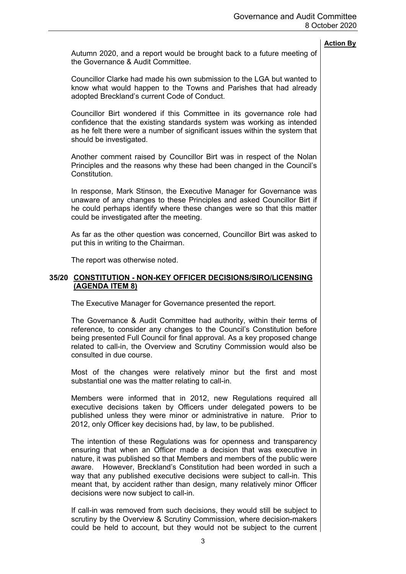Autumn 2020, and a report would be brought back to a future meeting of the Governance & Audit Committee.

Councillor Clarke had made his own submission to the LGA but wanted to know what would happen to the Towns and Parishes that had already adopted Breckland's current Code of Conduct.

Councillor Birt wondered if this Committee in its governance role had confidence that the existing standards system was working as intended as he felt there were a number of significant issues within the system that should be investigated.

Another comment raised by Councillor Birt was in respect of the Nolan Principles and the reasons why these had been changed in the Council's Constitution.

In response, Mark Stinson, the Executive Manager for Governance was unaware of any changes to these Principles and asked Councillor Birt if he could perhaps identify where these changes were so that this matter could be investigated after the meeting.

As far as the other question was concerned, Councillor Birt was asked to put this in writing to the Chairman.

The report was otherwise noted.

#### **35/20 CONSTITUTION - NON-KEY OFFICER DECISIONS/SIRO/LICENSING (AGENDA ITEM 8)**

The Executive Manager for Governance presented the report.

The Governance & Audit Committee had authority, within their terms of reference, to consider any changes to the Council's Constitution before being presented Full Council for final approval. As a key proposed change related to call-in, the Overview and Scrutiny Commission would also be consulted in due course.

Most of the changes were relatively minor but the first and most substantial one was the matter relating to call-in.

Members were informed that in 2012, new Regulations required all executive decisions taken by Officers under delegated powers to be published unless they were minor or administrative in nature. Prior to 2012, only Officer key decisions had, by law, to be published.

The intention of these Regulations was for openness and transparency ensuring that when an Officer made a decision that was executive in nature, it was published so that Members and members of the public were aware. However, Breckland's Constitution had been worded in such a way that any published executive decisions were subject to call-in. This meant that, by accident rather than design, many relatively minor Officer decisions were now subject to call-in.

If call-in was removed from such decisions, they would still be subject to scrutiny by the Overview & Scrutiny Commission, where decision-makers could be held to account, but they would not be subject to the current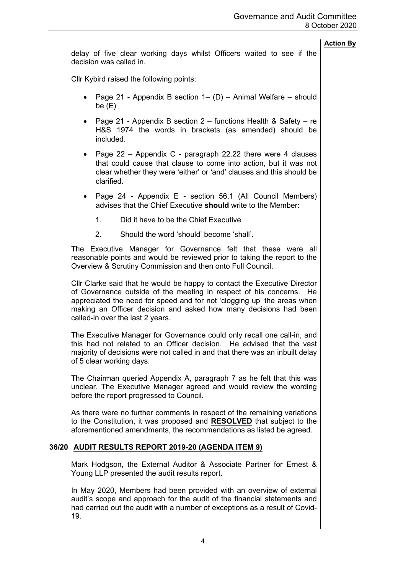delay of five clear working days whilst Officers waited to see if the decision was called in.

Cllr Kybird raised the following points:

- Page 21 Appendix B section  $1 (D)$  Animal Welfare should be (E)
- Page 21 Appendix B section  $2$  functions Health & Safety re H&S 1974 the words in brackets (as amended) should be included.
- Page  $22$  Appendix C paragraph 22.22 there were 4 clauses that could cause that clause to come into action, but it was not clear whether they were 'either' or 'and' clauses and this should be clarified.
- Page 24 Appendix E section 56.1 (All Council Members) advises that the Chief Executive **should** write to the Member:
	- 1. Did it have to be the Chief Executive
	- 2. Should the word 'should' become 'shall'.

The Executive Manager for Governance felt that these were all reasonable points and would be reviewed prior to taking the report to the Overview & Scrutiny Commission and then onto Full Council.

Cllr Clarke said that he would be happy to contact the Executive Director of Governance outside of the meeting in respect of his concerns. He appreciated the need for speed and for not 'clogging up' the areas when making an Officer decision and asked how many decisions had been called-in over the last 2 years.

The Executive Manager for Governance could only recall one call-in, and this had not related to an Officer decision. He advised that the vast majority of decisions were not called in and that there was an inbuilt delay of 5 clear working days.

The Chairman queried Appendix A, paragraph 7 as he felt that this was unclear. The Executive Manager agreed and would review the wording before the report progressed to Council.

As there were no further comments in respect of the remaining variations to the Constitution, it was proposed and **RESOLVED** that subject to the aforementioned amendments, the recommendations as listed be agreed.

# **36/20 AUDIT RESULTS REPORT 2019-20 (AGENDA ITEM 9)**

Mark Hodgson, the External Auditor & Associate Partner for Ernest & Young LLP presented the audit results report.

In May 2020, Members had been provided with an overview of external audit's scope and approach for the audit of the financial statements and had carried out the audit with a number of exceptions as a result of Covid-19.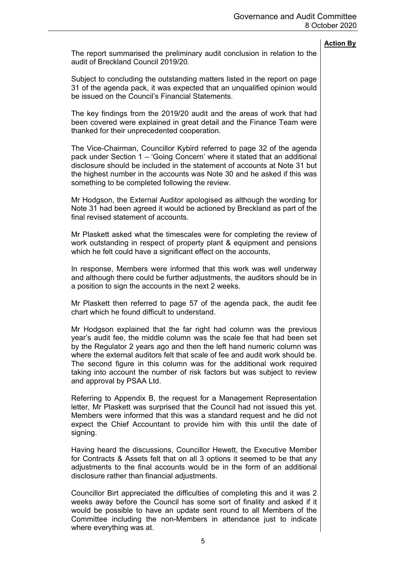The report summarised the preliminary audit conclusion in relation to the audit of Breckland Council 2019/20.

Subject to concluding the outstanding matters listed in the report on page 31 of the agenda pack, it was expected that an unqualified opinion would be issued on the Council's Financial Statements.

The key findings from the 2019/20 audit and the areas of work that had been covered were explained in great detail and the Finance Team were thanked for their unprecedented cooperation.

The Vice-Chairman, Councillor Kybird referred to page 32 of the agenda pack under Section 1 – 'Going Concern' where it stated that an additional disclosure should be included in the statement of accounts at Note 31 but the highest number in the accounts was Note 30 and he asked if this was something to be completed following the review.

Mr Hodgson, the External Auditor apologised as although the wording for Note 31 had been agreed it would be actioned by Breckland as part of the final revised statement of accounts.

Mr Plaskett asked what the timescales were for completing the review of work outstanding in respect of property plant & equipment and pensions which he felt could have a significant effect on the accounts.

In response, Members were informed that this work was well underway and although there could be further adjustments, the auditors should be in a position to sign the accounts in the next 2 weeks.

Mr Plaskett then referred to page 57 of the agenda pack, the audit fee chart which he found difficult to understand.

Mr Hodgson explained that the far right had column was the previous year's audit fee, the middle column was the scale fee that had been set by the Regulator 2 years ago and then the left hand numeric column was where the external auditors felt that scale of fee and audit work should be. The second figure in this column was for the additional work required taking into account the number of risk factors but was subject to review and approval by PSAA Ltd.

Referring to Appendix B, the request for a Management Representation letter, Mr Plaskett was surprised that the Council had not issued this yet. Members were informed that this was a standard request and he did not expect the Chief Accountant to provide him with this until the date of signing.

Having heard the discussions, Councillor Hewett, the Executive Member for Contracts & Assets felt that on all 3 options it seemed to be that any adjustments to the final accounts would be in the form of an additional disclosure rather than financial adjustments.

Councillor Birt appreciated the difficulties of completing this and it was 2 weeks away before the Council has some sort of finality and asked if it would be possible to have an update sent round to all Members of the Committee including the non-Members in attendance just to indicate where everything was at.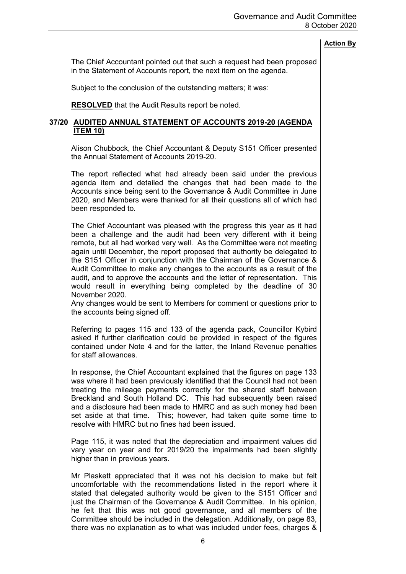The Chief Accountant pointed out that such a request had been proposed in the Statement of Accounts report, the next item on the agenda.

Subject to the conclusion of the outstanding matters; it was:

**RESOLVED** that the Audit Results report be noted.

## **37/20 AUDITED ANNUAL STATEMENT OF ACCOUNTS 2019-20 (AGENDA ITEM 10)**

Alison Chubbock, the Chief Accountant & Deputy S151 Officer presented the Annual Statement of Accounts 2019-20.

The report reflected what had already been said under the previous agenda item and detailed the changes that had been made to the Accounts since being sent to the Governance & Audit Committee in June 2020, and Members were thanked for all their questions all of which had been responded to.

The Chief Accountant was pleased with the progress this year as it had been a challenge and the audit had been very different with it being remote, but all had worked very well. As the Committee were not meeting again until December, the report proposed that authority be delegated to the S151 Officer in conjunction with the Chairman of the Governance & Audit Committee to make any changes to the accounts as a result of the audit, and to approve the accounts and the letter of representation. This would result in everything being completed by the deadline of 30 November 2020.

Any changes would be sent to Members for comment or questions prior to the accounts being signed off.

Referring to pages 115 and 133 of the agenda pack, Councillor Kybird asked if further clarification could be provided in respect of the figures contained under Note 4 and for the latter, the Inland Revenue penalties for staff allowances.

In response, the Chief Accountant explained that the figures on page 133 was where it had been previously identified that the Council had not been treating the mileage payments correctly for the shared staff between Breckland and South Holland DC. This had subsequently been raised and a disclosure had been made to HMRC and as such money had been set aside at that time. This; however, had taken quite some time to resolve with HMRC but no fines had been issued.

Page 115, it was noted that the depreciation and impairment values did vary year on year and for 2019/20 the impairments had been slightly higher than in previous years.

Mr Plaskett appreciated that it was not his decision to make but felt uncomfortable with the recommendations listed in the report where it stated that delegated authority would be given to the S151 Officer and just the Chairman of the Governance & Audit Committee. In his opinion, he felt that this was not good governance, and all members of the Committee should be included in the delegation. Additionally, on page 83, there was no explanation as to what was included under fees, charges &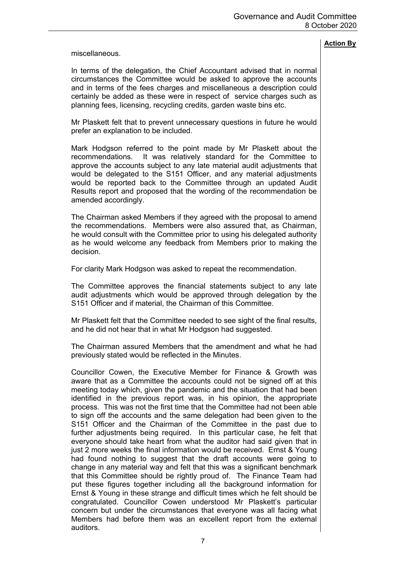miscellaneous.

In terms of the delegation, the Chief Accountant advised that in normal circumstances the Committee would be asked to approve the accounts and in terms of the fees charges and miscellaneous a description could certainly be added as these were in respect of service charges such as planning fees, licensing, recycling credits, garden waste bins etc.

Mr Plaskett felt that to prevent unnecessary questions in future he would prefer an explanation to be included.

Mark Hodgson referred to the point made by Mr Plaskett about the recommendations. It was relatively standard for the Committee to approve the accounts subject to any late material audit adjustments that would be delegated to the S151 Officer, and any material adjustments would be reported back to the Committee through an updated Audit Results report and proposed that the wording of the recommendation be amended accordingly.

The Chairman asked Members if they agreed with the proposal to amend the recommendations. Members were also assured that, as Chairman, he would consult with the Committee prior to using his delegated authority as he would welcome any feedback from Members prior to making the decision.

For clarity Mark Hodgson was asked to repeat the recommendation.

The Committee approves the financial statements subject to any late audit adjustments which would be approved through delegation by the S151 Officer and if material, the Chairman of this Committee.

Mr Plaskett felt that the Committee needed to see sight of the final results, and he did not hear that in what Mr Hodgson had suggested.

The Chairman assured Members that the amendment and what he had previously stated would be reflected in the Minutes.

Councillor Cowen, the Executive Member for Finance & Growth was aware that as a Committee the accounts could not be signed off at this meeting today which, given the pandemic and the situation that had been identified in the previous report was, in his opinion, the appropriate process. This was not the first time that the Committee had not been able to sign off the accounts and the same delegation had been given to the S151 Officer and the Chairman of the Committee in the past due to further adjustments being required. In this particular case, he felt that everyone should take heart from what the auditor had said given that in just 2 more weeks the final information would be received. Ernst & Young had found nothing to suggest that the draft accounts were going to change in any material way and felt that this was a significant benchmark that this Committee should be rightly proud of. The Finance Team had put these figures together including all the background information for Ernst & Young in these strange and difficult times which he felt should be congratulated. Councillor Cowen understood Mr Plaskett's particular concern but under the circumstances that everyone was all facing what Members had before them was an excellent report from the external auditors.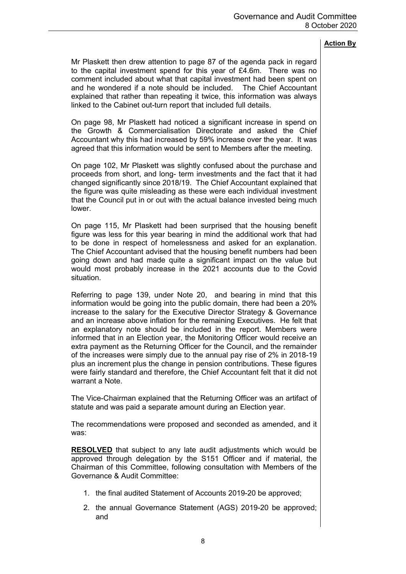Mr Plaskett then drew attention to page 87 of the agenda pack in regard to the capital investment spend for this year of £4.6m. There was no comment included about what that capital investment had been spent on and he wondered if a note should be included. The Chief Accountant explained that rather than repeating it twice, this information was always linked to the Cabinet out-turn report that included full details.

On page 98, Mr Plaskett had noticed a significant increase in spend on the Growth & Commercialisation Directorate and asked the Chief Accountant why this had increased by 59% increase over the year. It was agreed that this information would be sent to Members after the meeting.

On page 102, Mr Plaskett was slightly confused about the purchase and proceeds from short, and long- term investments and the fact that it had changed significantly since 2018/19. The Chief Accountant explained that the figure was quite misleading as these were each individual investment that the Council put in or out with the actual balance invested being much lower.

On page 115, Mr Plaskett had been surprised that the housing benefit figure was less for this year bearing in mind the additional work that had to be done in respect of homelessness and asked for an explanation. The Chief Accountant advised that the housing benefit numbers had been going down and had made quite a significant impact on the value but would most probably increase in the 2021 accounts due to the Covid situation.

Referring to page 139, under Note 20, and bearing in mind that this information would be going into the public domain, there had been a 20% increase to the salary for the Executive Director Strategy & Governance and an increase above inflation for the remaining Executives. He felt that an explanatory note should be included in the report. Members were informed that in an Election year, the Monitoring Officer would receive an extra payment as the Returning Officer for the Council, and the remainder of the increases were simply due to the annual pay rise of 2% in 2018-19 plus an increment plus the change in pension contributions. These figures were fairly standard and therefore, the Chief Accountant felt that it did not warrant a Note.

The Vice-Chairman explained that the Returning Officer was an artifact of statute and was paid a separate amount during an Election year.

The recommendations were proposed and seconded as amended, and it was:

**RESOLVED** that subject to any late audit adjustments which would be approved through delegation by the S151 Officer and if material, the Chairman of this Committee, following consultation with Members of the Governance & Audit Committee:

- 1. the final audited Statement of Accounts 2019-20 be approved;
- 2. the annual Governance Statement (AGS) 2019-20 be approved; and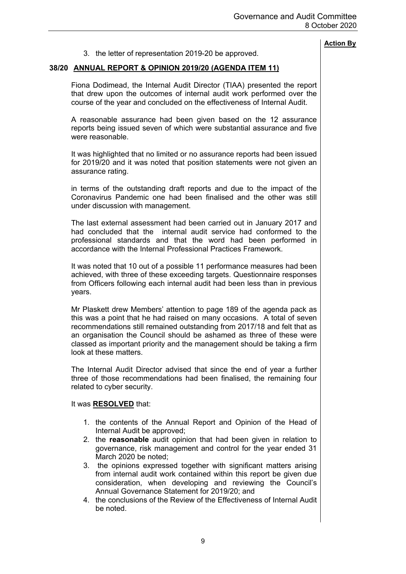|                                                                                                                                                                                                                                                                                                                                                                                                                                                                                                                          | <b>Action By</b> |
|--------------------------------------------------------------------------------------------------------------------------------------------------------------------------------------------------------------------------------------------------------------------------------------------------------------------------------------------------------------------------------------------------------------------------------------------------------------------------------------------------------------------------|------------------|
| 3. the letter of representation 2019-20 be approved.                                                                                                                                                                                                                                                                                                                                                                                                                                                                     |                  |
| 38/20 ANNUAL REPORT & OPINION 2019/20 (AGENDA ITEM 11)                                                                                                                                                                                                                                                                                                                                                                                                                                                                   |                  |
| Fiona Dodimead, the Internal Audit Director (TIAA) presented the report<br>that drew upon the outcomes of internal audit work performed over the<br>course of the year and concluded on the effectiveness of Internal Audit.                                                                                                                                                                                                                                                                                             |                  |
| A reasonable assurance had been given based on the 12 assurance<br>reports being issued seven of which were substantial assurance and five<br>were reasonable.                                                                                                                                                                                                                                                                                                                                                           |                  |
| It was highlighted that no limited or no assurance reports had been issued<br>for 2019/20 and it was noted that position statements were not given an<br>assurance rating.                                                                                                                                                                                                                                                                                                                                               |                  |
| in terms of the outstanding draft reports and due to the impact of the<br>Coronavirus Pandemic one had been finalised and the other was still<br>under discussion with management.                                                                                                                                                                                                                                                                                                                                       |                  |
| The last external assessment had been carried out in January 2017 and<br>internal audit service had conformed to the<br>had concluded that the<br>professional standards and that the word had been performed in<br>accordance with the Internal Professional Practices Framework.                                                                                                                                                                                                                                       |                  |
| It was noted that 10 out of a possible 11 performance measures had been<br>achieved, with three of these exceeding targets. Questionnaire responses<br>from Officers following each internal audit had been less than in previous<br>years.                                                                                                                                                                                                                                                                              |                  |
| Mr Plaskett drew Members' attention to page 189 of the agenda pack as<br>this was a point that he had raised on many occasions. A total of seven<br>recommendations still remained outstanding from 2017/18 and felt that as<br>an organisation the Council should be ashamed as three of these were<br>classed as important priority and the management should be taking a firm<br>look at these matters.                                                                                                               |                  |
| The Internal Audit Director advised that since the end of year a further<br>three of those recommendations had been finalised, the remaining four<br>related to cyber security.                                                                                                                                                                                                                                                                                                                                          |                  |
| It was <b>RESOLVED</b> that:                                                                                                                                                                                                                                                                                                                                                                                                                                                                                             |                  |
| 1. the contents of the Annual Report and Opinion of the Head of<br>Internal Audit be approved;<br>2. the reasonable audit opinion that had been given in relation to<br>governance, risk management and control for the year ended 31<br>March 2020 be noted;<br>3. the opinions expressed together with significant matters arising<br>from internal audit work contained within this report be given due<br>consideration, when developing and reviewing the Council's<br>Annual Governance Statement for 2019/20; and |                  |
| 4. the conclusions of the Review of the Effectiveness of Internal Audit<br>be noted.                                                                                                                                                                                                                                                                                                                                                                                                                                     |                  |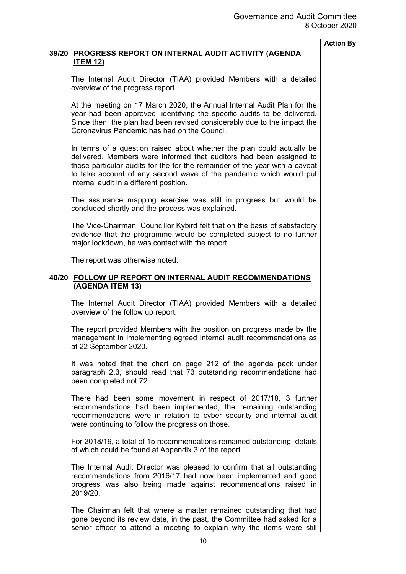# **39/20 PROGRESS REPORT ON INTERNAL AUDIT ACTIVITY (AGENDA ITEM 12)**

The Internal Audit Director (TIAA) provided Members with a detailed overview of the progress report.

At the meeting on 17 March 2020, the Annual Internal Audit Plan for the year had been approved, identifying the specific audits to be delivered. Since then, the plan had been revised considerably due to the impact the Coronavirus Pandemic has had on the Council.

In terms of a question raised about whether the plan could actually be delivered, Members were informed that auditors had been assigned to those particular audits for the for the remainder of the year with a caveat to take account of any second wave of the pandemic which would put internal audit in a different position.

The assurance mapping exercise was still in progress but would be concluded shortly and the process was explained.

The Vice-Chairman, Councillor Kybird felt that on the basis of satisfactory evidence that the programme would be completed subject to no further major lockdown, he was contact with the report.

The report was otherwise noted.

#### **40/20 FOLLOW UP REPORT ON INTERNAL AUDIT RECOMMENDATIONS (AGENDA ITEM 13)**

The Internal Audit Director (TIAA) provided Members with a detailed overview of the follow up report.

The report provided Members with the position on progress made by the management in implementing agreed internal audit recommendations as at 22 September 2020.

It was noted that the chart on page 212 of the agenda pack under paragraph 2.3, should read that 73 outstanding recommendations had been completed not 72.

There had been some movement in respect of 2017/18, 3 further recommendations had been implemented, the remaining outstanding recommendations were in relation to cyber security and internal audit were continuing to follow the progress on those.

For 2018/19, a total of 15 recommendations remained outstanding, details of which could be found at Appendix 3 of the report.

The Internal Audit Director was pleased to confirm that all outstanding recommendations from 2016/17 had now been implemented and good progress was also being made against recommendations raised in 2019/20.

The Chairman felt that where a matter remained outstanding that had gone beyond its review date, in the past, the Committee had asked for a senior officer to attend a meeting to explain why the items were still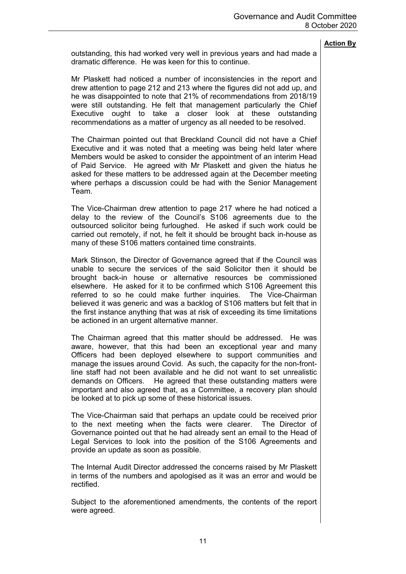outstanding, this had worked very well in previous years and had made a dramatic difference. He was keen for this to continue.

Mr Plaskett had noticed a number of inconsistencies in the report and drew attention to page 212 and 213 where the figures did not add up, and he was disappointed to note that 21% of recommendations from 2018/19 were still outstanding. He felt that management particularly the Chief Executive ought to take a closer look at these outstanding recommendations as a matter of urgency as all needed to be resolved.

The Chairman pointed out that Breckland Council did not have a Chief Executive and it was noted that a meeting was being held later where Members would be asked to consider the appointment of an interim Head of Paid Service. He agreed with Mr Plaskett and given the hiatus he asked for these matters to be addressed again at the December meeting where perhaps a discussion could be had with the Senior Management Team.

The Vice-Chairman drew attention to page 217 where he had noticed a delay to the review of the Council's S106 agreements due to the outsourced solicitor being furloughed. He asked if such work could be carried out remotely, if not, he felt it should be brought back in-house as many of these S106 matters contained time constraints.

Mark Stinson, the Director of Governance agreed that if the Council was unable to secure the services of the said Solicitor then it should be brought back-in house or alternative resources be commissioned elsewhere. He asked for it to be confirmed which S106 Agreement this referred to so he could make further inquiries. The Vice-Chairman believed it was generic and was a backlog of S106 matters but felt that in the first instance anything that was at risk of exceeding its time limitations be actioned in an urgent alternative manner.

The Chairman agreed that this matter should be addressed. He was aware, however, that this had been an exceptional year and many Officers had been deployed elsewhere to support communities and manage the issues around Covid. As such, the capacity for the non-frontline staff had not been available and he did not want to set unrealistic demands on Officers. He agreed that these outstanding matters were important and also agreed that, as a Committee, a recovery plan should be looked at to pick up some of these historical issues.

The Vice-Chairman said that perhaps an update could be received prior to the next meeting when the facts were clearer. The Director of Governance pointed out that he had already sent an email to the Head of Legal Services to look into the position of the S106 Agreements and provide an update as soon as possible.

The Internal Audit Director addressed the concerns raised by Mr Plaskett in terms of the numbers and apologised as it was an error and would be rectified.

Subject to the aforementioned amendments, the contents of the report were agreed.